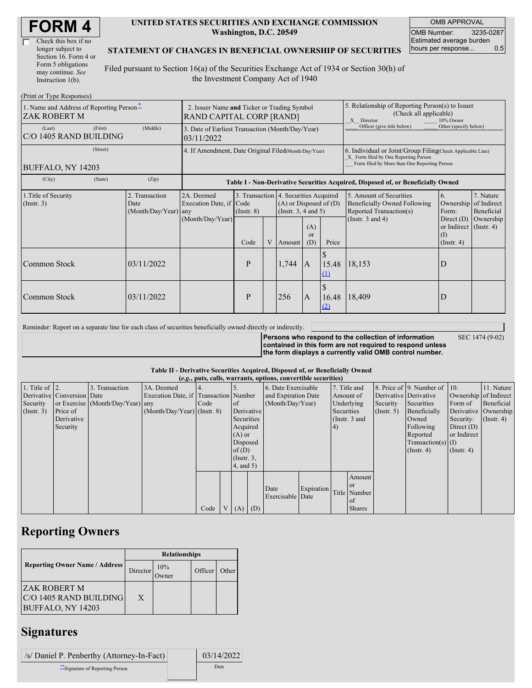| Check this box if no  |
|-----------------------|
| longer subject to     |
| Section 16. Form 4 or |
| Form 5 obligations    |
| may continue. See     |
| Instruction 1(b).     |

#### **UNITED STATES SECURITIES AND EXCHANGE COMMISSION Washington, D.C. 20549**

OMB APPROVAL OMB Number: 3235-0287 Estimated average burden hours per response... 0.5

#### **STATEMENT OF CHANGES IN BENEFICIAL OWNERSHIP OF SECURITIES**

Filed pursuant to Section 16(a) of the Securities Exchange Act of 1934 or Section 30(h) of the Investment Company Act of 1940

| (Print or Type Responses)                                |                                                                         |                                                                                  |                 |   |                                                                                                        |                      |                                                                                                                                                    |                                                                                                             |                                                                       |                                                     |
|----------------------------------------------------------|-------------------------------------------------------------------------|----------------------------------------------------------------------------------|-----------------|---|--------------------------------------------------------------------------------------------------------|----------------------|----------------------------------------------------------------------------------------------------------------------------------------------------|-------------------------------------------------------------------------------------------------------------|-----------------------------------------------------------------------|-----------------------------------------------------|
| 1. Name and Address of Reporting Person-<br>ZAK ROBERT M | 2. Issuer Name and Ticker or Trading Symbol<br>RAND CAPITAL CORP [RAND] |                                                                                  |                 |   |                                                                                                        |                      | 5. Relationship of Reporting Person(s) to Issuer<br>(Check all applicable)<br>X Director<br>10% Owner                                              |                                                                                                             |                                                                       |                                                     |
| (First)<br>(Last)<br>C/O 1405 RAND BUILDING              | (Middle)                                                                | 3. Date of Earliest Transaction (Month/Day/Year)<br>03/11/2022                   |                 |   |                                                                                                        |                      |                                                                                                                                                    | Officer (give title below)                                                                                  | Other (specify below)                                                 |                                                     |
| (Street)<br>BUFFALO, NY 14203                            | 4. If Amendment, Date Original Filed(Month/Day/Year)                    |                                                                                  |                 |   |                                                                                                        |                      | 6. Individual or Joint/Group Filing(Check Applicable Line)<br>X Form filed by One Reporting Person<br>Form filed by More than One Reporting Person |                                                                                                             |                                                                       |                                                     |
| (State)<br>(City)                                        | (Zip)                                                                   | Table I - Non-Derivative Securities Acquired, Disposed of, or Beneficially Owned |                 |   |                                                                                                        |                      |                                                                                                                                                    |                                                                                                             |                                                                       |                                                     |
| 1. Title of Security<br>(Insert. 3)                      | 2. Transaction<br>Date<br>(Month/Day/Year) any                          | 2A. Deemed<br>Execution Date, if Code<br>(Month/Day/Year)                        | $($ Instr. $8)$ |   | 3. Transaction 4. Securities Acquired<br>$(A)$ or Disposed of $(D)$<br>(Instr. $3, 4$ and $5$ )<br>(A) |                      |                                                                                                                                                    | 5. Amount of Securities<br>Beneficially Owned Following<br>Reported Transaction(s)<br>(Instr. $3$ and $4$ ) | 6.<br>Ownership<br>Form:<br>Direct $(D)$<br>or Indirect $($ Instr. 4) | 7. Nature<br>of Indirect<br>Beneficial<br>Ownership |
|                                                          |                                                                         |                                                                                  | Code            | V | Amount                                                                                                 | <sub>or</sub><br>(D) | Price                                                                                                                                              |                                                                                                             | (1)<br>$($ Instr. 4 $)$                                               |                                                     |
| Common Stock                                             | 03/11/2022                                                              |                                                                                  | P               |   | 1,744                                                                                                  | A                    | 15.48<br>(1)                                                                                                                                       | 18,153                                                                                                      | D                                                                     |                                                     |
| Common Stock                                             | 03/11/2022                                                              |                                                                                  | P               |   | 256                                                                                                    | $\mathbf{A}$         | 16.48<br>(2)                                                                                                                                       | 18,409                                                                                                      | D                                                                     |                                                     |

Reminder: Report on a separate line for each class of securities beneficially owned directly or indirectly.

**Persons who respond to the collection of information contained in this form are not required to respond unless the form displays a currently valid OMB control number.**

SEC 1474 (9-02)

**Table II - Derivative Securities Acquired, Disposed of, or Beneficially Owned**

| (e.g., puts, calls, warrants, options, convertible securities) |                            |                                  |                                       |      |                |                 |                     |                     |            |            |                 |                       |                              |                  |                      |
|----------------------------------------------------------------|----------------------------|----------------------------------|---------------------------------------|------|----------------|-----------------|---------------------|---------------------|------------|------------|-----------------|-----------------------|------------------------------|------------------|----------------------|
| 1. Title of $\vert$ 2.                                         |                            | 3. Transaction                   | 3A. Deemed                            |      |                |                 |                     | 6. Date Exercisable |            |            | 7. Title and    |                       | 8. Price of 9. Number of 10. |                  | 11. Nature           |
|                                                                | Derivative Conversion Date |                                  | Execution Date, if Transaction Number |      |                |                 | and Expiration Date |                     | Amount of  |            |                 | Derivative Derivative | Ownership of Indirect        |                  |                      |
| Security                                                       |                            | or Exercise (Month/Day/Year) any |                                       | Code |                | of              |                     | (Month/Day/Year)    |            |            | Underlying      | Security              | Securities                   | Form of          | Beneficial           |
| (Insert. 3)                                                    | Price of                   |                                  | $(Month/Day/Year)$ (Instr. 8)         |      |                |                 | Derivative          |                     |            | Securities |                 | (Insert. 5)           | Beneficially                 |                  | Derivative Ownership |
|                                                                | Derivative                 |                                  |                                       |      |                | Securities      |                     |                     |            |            | (Instr. $3$ and |                       | Owned                        | Security:        | $($ Instr. 4 $)$     |
|                                                                | Security                   |                                  |                                       |      |                | Acquired        |                     |                     |            | (4)        |                 |                       | Following                    | Direct $(D)$     |                      |
|                                                                |                            |                                  |                                       |      |                | $(A)$ or        |                     |                     |            |            |                 |                       | Reported                     | or Indirect      |                      |
|                                                                |                            |                                  |                                       |      |                | Disposed        |                     |                     |            |            |                 |                       | $Transaction(s)$ (I)         |                  |                      |
|                                                                |                            |                                  |                                       |      |                | of(D)           |                     |                     |            |            |                 |                       | $($ Instr. 4 $)$             | $($ Instr. 4 $)$ |                      |
|                                                                |                            |                                  |                                       |      |                | $($ Instr. $3,$ |                     |                     |            |            |                 |                       |                              |                  |                      |
|                                                                |                            |                                  |                                       |      |                | 4, and 5)       |                     |                     |            |            |                 |                       |                              |                  |                      |
|                                                                |                            |                                  |                                       |      |                |                 |                     |                     |            |            | Amount          |                       |                              |                  |                      |
|                                                                |                            |                                  |                                       |      |                |                 |                     |                     |            |            | <b>or</b>       |                       |                              |                  |                      |
|                                                                |                            |                                  |                                       |      |                |                 |                     | Date                | Expiration |            | Title Number    |                       |                              |                  |                      |
|                                                                |                            |                                  |                                       |      |                |                 |                     | Exercisable Date    |            |            | of              |                       |                              |                  |                      |
|                                                                |                            |                                  |                                       | Code | V <sub>1</sub> | $(A)$ $(D)$     |                     |                     |            |            | <b>Shares</b>   |                       |                              |                  |                      |

# **Reporting Owners**

|                                                                     | <b>Relationships</b> |                 |         |       |  |  |  |  |
|---------------------------------------------------------------------|----------------------|-----------------|---------|-------|--|--|--|--|
| <b>Reporting Owner Name / Address</b>                               | Director             | 10%<br><b>T</b> | Officer | Other |  |  |  |  |
| IZAK ROBERT M<br>C/O 1405 RAND BUILDING<br><b>BUFFALO, NY 14203</b> | X                    |                 |         |       |  |  |  |  |

### **Signatures**

| /s/ Daniel P. Penberthy (Attorney-In-Fact) | 03/14/2022 |  |  |
|--------------------------------------------|------------|--|--|
| Signature of Reporting Person              | Date       |  |  |